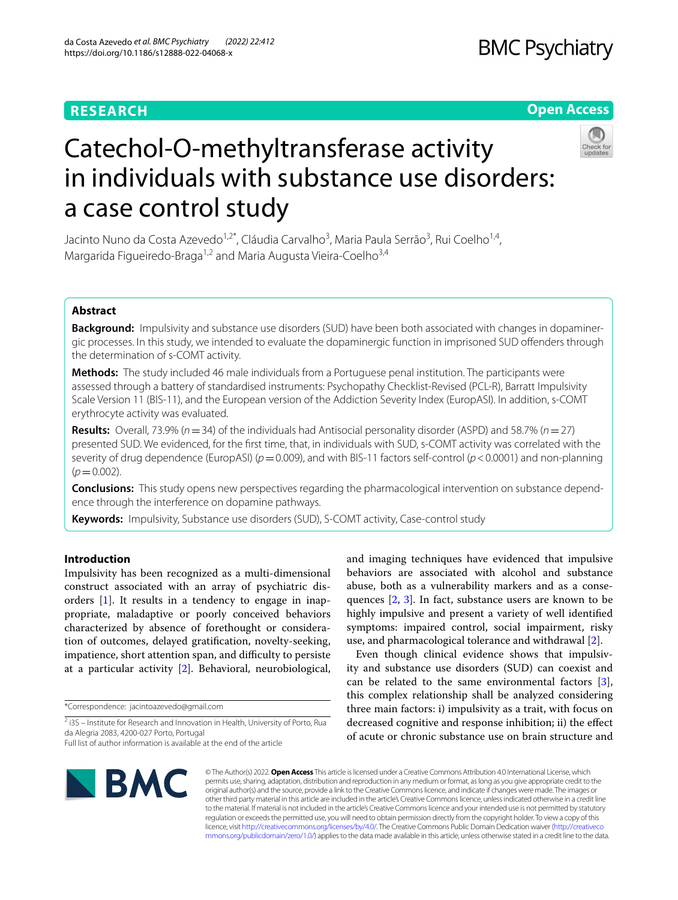### **RESEARCH**

# **BMC Psychiatry**

#### **Open Access**



# Catechol-O-methyltransferase activity in individuals with substance use disorders: a case control study

Jacinto Nuno da Costa Azevedo<sup>1,2\*</sup>, Cláudia Carvalho<sup>3</sup>, Maria Paula Serrão<sup>3</sup>, Rui Coelho<sup>1,4</sup>, Margarida Figueiredo-Braga<sup>1,2</sup> and Maria Augusta Vieira-Coelho<sup>3,4</sup>

#### **Abstract**

**Background:** Impulsivity and substance use disorders (SUD) have been both associated with changes in dopaminergic processes. In this study, we intended to evaluate the dopaminergic function in imprisoned SUD ofenders through the determination of s-COMT activity.

**Methods:** The study included 46 male individuals from a Portuguese penal institution. The participants were assessed through a battery of standardised instruments: Psychopathy Checklist-Revised (PCL-R), Barratt Impulsivity Scale Version 11 (BIS-11), and the European version of the Addiction Severity Index (EuropASI). In addition, s-COMT erythrocyte activity was evaluated.

**Results:** Overall, 73.9% (*n*=34) of the individuals had Antisocial personality disorder (ASPD) and 58.7% (*n*=27) presented SUD. We evidenced, for the frst time, that, in individuals with SUD, s-COMT activity was correlated with the severity of drug dependence (EuropASI) ( $p=0.009$ ), and with BIS-11 factors self-control ( $p < 0.0001$ ) and non-planning  $(p=0.002)$ .

**Conclusions:** This study opens new perspectives regarding the pharmacological intervention on substance depend‑ ence through the interference on dopamine pathways.

**Keywords:** Impulsivity, Substance use disorders (SUD), S-COMT activity, Case-control study

#### **Introduction**

Impulsivity has been recognized as a multi-dimensional construct associated with an array of psychiatric disorders [\[1](#page-7-0)]. It results in a tendency to engage in inappropriate, maladaptive or poorly conceived behaviors characterized by absence of forethought or consideration of outcomes, delayed gratifcation, novelty-seeking, impatience, short attention span, and difficulty to persiste at a particular activity [[2\]](#page-7-1). Behavioral, neurobiological,

\*Correspondence: jacintoazevedo@gmail.com

and imaging techniques have evidenced that impulsive behaviors are associated with alcohol and substance abuse, both as a vulnerability markers and as a conse-

ity and substance use disorders (SUD) can coexist and can be related to the same environmental factors [\[3](#page-7-2)], this complex relationship shall be analyzed considering three main factors: i) impulsivity as a trait, with focus on decreased cognitive and response inhibition; ii) the efect of acute or chronic substance use on brain structure and



© The Author(s) 2022. **Open Access** This article is licensed under a Creative Commons Attribution 4.0 International License, which permits use, sharing, adaptation, distribution and reproduction in any medium or format, as long as you give appropriate credit to the original author(s) and the source, provide a link to the Creative Commons licence, and indicate if changes were made. The images or other third party material in this article are included in the article's Creative Commons licence, unless indicated otherwise in a credit line to the material. If material is not included in the article's Creative Commons licence and your intended use is not permitted by statutory regulation or exceeds the permitted use, you will need to obtain permission directly from the copyright holder. To view a copy of this licence, visit [http://creativecommons.org/licenses/by/4.0/.](http://creativecommons.org/licenses/by/4.0/) The Creative Commons Public Domain Dedication waiver ([http://creativeco](http://creativecommons.org/publicdomain/zero/1.0/) [mmons.org/publicdomain/zero/1.0/](http://creativecommons.org/publicdomain/zero/1.0/)) applies to the data made available in this article, unless otherwise stated in a credit line to the data.

<sup>&</sup>lt;sup>2</sup> i3S – Institute for Research and Innovation in Health, University of Porto, Rua da Alegria 2083, 4200‑027 Porto, Portugal Full list of author information is available at the end of the article

quences [\[2](#page-7-1), [3\]](#page-7-2). In fact, substance users are known to be highly impulsive and present a variety of well identifed symptoms: impaired control, social impairment, risky use, and pharmacological tolerance and withdrawal [\[2](#page-7-1)]. Even though clinical evidence shows that impulsiv-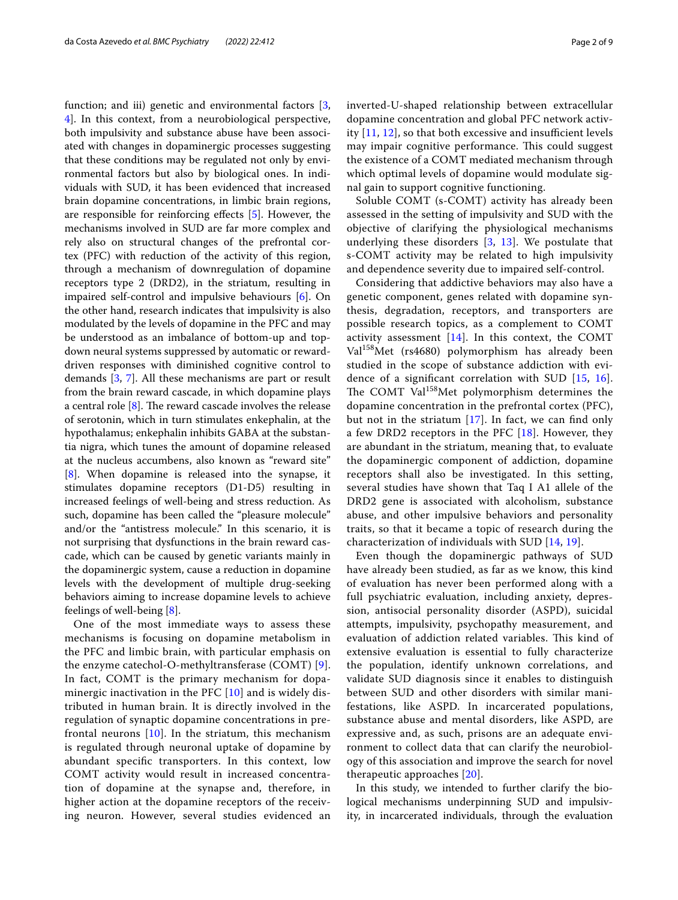function; and iii) genetic and environmental factors [\[3](#page-7-2), [4\]](#page-7-3). In this context, from a neurobiological perspective, both impulsivity and substance abuse have been associated with changes in dopaminergic processes suggesting that these conditions may be regulated not only by environmental factors but also by biological ones. In individuals with SUD, it has been evidenced that increased brain dopamine concentrations, in limbic brain regions, are responsible for reinforcing efects [\[5](#page-7-4)]. However, the mechanisms involved in SUD are far more complex and rely also on structural changes of the prefrontal cortex (PFC) with reduction of the activity of this region, through a mechanism of downregulation of dopamine receptors type 2 (DRD2), in the striatum, resulting in impaired self-control and impulsive behaviours [\[6\]](#page-7-5). On the other hand, research indicates that impulsivity is also modulated by the levels of dopamine in the PFC and may be understood as an imbalance of bottom-up and topdown neural systems suppressed by automatic or rewarddriven responses with diminished cognitive control to demands [\[3](#page-7-2), [7\]](#page-7-6). All these mechanisms are part or result from the brain reward cascade, in which dopamine plays a central role  $[8]$  $[8]$ . The reward cascade involves the release of serotonin, which in turn stimulates enkephalin, at the hypothalamus; enkephalin inhibits GABA at the substantia nigra, which tunes the amount of dopamine released at the nucleus accumbens, also known as "reward site" [[8\]](#page-7-7). When dopamine is released into the synapse, it stimulates dopamine receptors (D1-D5) resulting in increased feelings of well-being and stress reduction. As such, dopamine has been called the "pleasure molecule" and/or the "antistress molecule." In this scenario, it is not surprising that dysfunctions in the brain reward cascade, which can be caused by genetic variants mainly in the dopaminergic system, cause a reduction in dopamine levels with the development of multiple drug-seeking behaviors aiming to increase dopamine levels to achieve feelings of well-being [[8](#page-7-7)].

One of the most immediate ways to assess these mechanisms is focusing on dopamine metabolism in the PFC and limbic brain, with particular emphasis on the enzyme catechol-O-methyltransferase (COMT) [[9\]](#page-7-8). In fact, COMT is the primary mechanism for dopaminergic inactivation in the PFC  $[10]$  $[10]$  and is widely distributed in human brain. It is directly involved in the regulation of synaptic dopamine concentrations in prefrontal neurons  $[10]$  $[10]$ . In the striatum, this mechanism is regulated through neuronal uptake of dopamine by abundant specifc transporters. In this context, low COMT activity would result in increased concentration of dopamine at the synapse and, therefore, in higher action at the dopamine receptors of the receiving neuron. However, several studies evidenced an inverted-U-shaped relationship between extracellular dopamine concentration and global PFC network activity  $[11, 12]$  $[11, 12]$  $[11, 12]$  $[11, 12]$ , so that both excessive and insufficient levels may impair cognitive performance. This could suggest the existence of a COMT mediated mechanism through which optimal levels of dopamine would modulate signal gain to support cognitive functioning.

Soluble COMT (s-COMT) activity has already been assessed in the setting of impulsivity and SUD with the objective of clarifying the physiological mechanisms underlying these disorders [\[3](#page-7-2), [13](#page-8-3)]. We postulate that s-COMT activity may be related to high impulsivity and dependence severity due to impaired self-control.

Considering that addictive behaviors may also have a genetic component, genes related with dopamine synthesis, degradation, receptors, and transporters are possible research topics, as a complement to COMT activity assessment  $[14]$  $[14]$ . In this context, the COMT Val158Met (rs4680) polymorphism has already been studied in the scope of substance addiction with evidence of a signifcant correlation with SUD [[15](#page-8-5), [16](#page-8-6)]. The COMT Val<sup>158</sup>Met polymorphism determines the dopamine concentration in the prefrontal cortex (PFC), but not in the striatum  $[17]$  $[17]$ . In fact, we can find only a few DRD2 receptors in the PFC  $[18]$  $[18]$ . However, they are abundant in the striatum, meaning that, to evaluate the dopaminergic component of addiction, dopamine receptors shall also be investigated. In this setting, several studies have shown that Taq I A1 allele of the DRD2 gene is associated with alcoholism, substance abuse, and other impulsive behaviors and personality traits, so that it became a topic of research during the characterization of individuals with SUD [\[14](#page-8-4), [19](#page-8-9)].

Even though the dopaminergic pathways of SUD have already been studied, as far as we know, this kind of evaluation has never been performed along with a full psychiatric evaluation, including anxiety, depression, antisocial personality disorder (ASPD), suicidal attempts, impulsivity, psychopathy measurement, and evaluation of addiction related variables. This kind of extensive evaluation is essential to fully characterize the population, identify unknown correlations, and validate SUD diagnosis since it enables to distinguish between SUD and other disorders with similar manifestations, like ASPD. In incarcerated populations, substance abuse and mental disorders, like ASPD, are expressive and, as such, prisons are an adequate environment to collect data that can clarify the neurobiology of this association and improve the search for novel therapeutic approaches [[20](#page-8-10)].

In this study, we intended to further clarify the biological mechanisms underpinning SUD and impulsivity, in incarcerated individuals, through the evaluation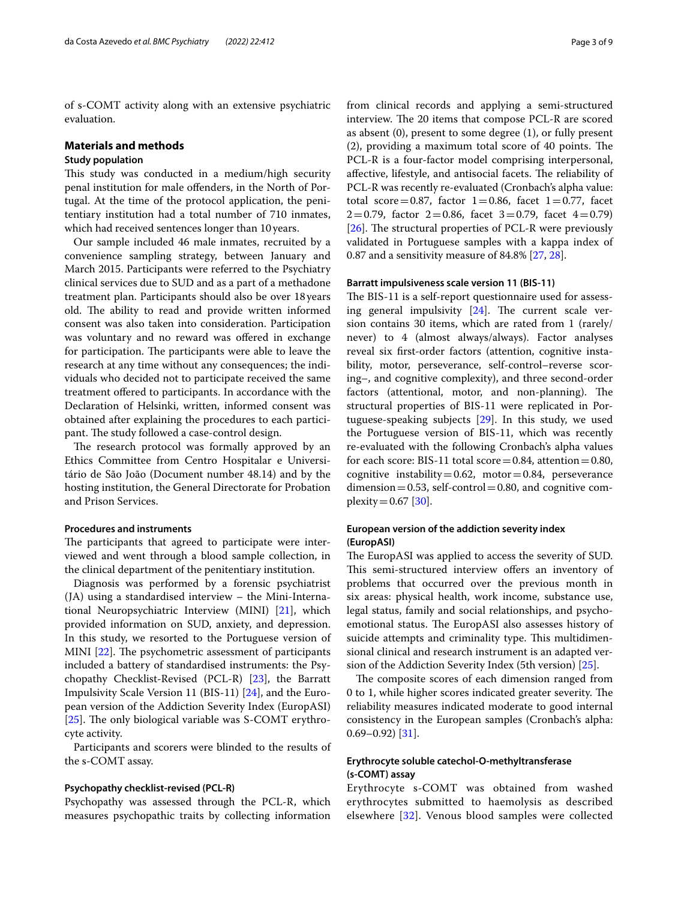of s-COMT activity along with an extensive psychiatric evaluation.

#### **Materials and methods**

#### **Study population**

This study was conducted in a medium/high security penal institution for male ofenders, in the North of Portugal. At the time of the protocol application, the penitentiary institution had a total number of 710 inmates, which had received sentences longer than 10years.

Our sample included 46 male inmates, recruited by a convenience sampling strategy, between January and March 2015. Participants were referred to the Psychiatry clinical services due to SUD and as a part of a methadone treatment plan. Participants should also be over 18years old. The ability to read and provide written informed consent was also taken into consideration. Participation was voluntary and no reward was ofered in exchange for participation. The participants were able to leave the research at any time without any consequences; the individuals who decided not to participate received the same treatment ofered to participants. In accordance with the Declaration of Helsinki, written, informed consent was obtained after explaining the procedures to each participant. The study followed a case-control design.

The research protocol was formally approved by an Ethics Committee from Centro Hospitalar e Universitário de São João (Document number 48.14) and by the hosting institution, the General Directorate for Probation and Prison Services.

#### **Procedures and instruments**

The participants that agreed to participate were interviewed and went through a blood sample collection, in the clinical department of the penitentiary institution.

Diagnosis was performed by a forensic psychiatrist (JA) using a standardised interview – the Mini-International Neuropsychiatric Interview (MINI) [\[21\]](#page-8-11), which provided information on SUD, anxiety, and depression. In this study, we resorted to the Portuguese version of MINI  $[22]$  $[22]$ . The psychometric assessment of participants included a battery of standardised instruments: the Psychopathy Checklist-Revised (PCL-R) [\[23\]](#page-8-13), the Barratt Impulsivity Scale Version 11 (BIS-11) [[24\]](#page-8-14), and the European version of the Addiction Severity Index (EuropASI) [ $25$ ]. The only biological variable was S-COMT erythrocyte activity.

Participants and scorers were blinded to the results of the s-COMT assay.

#### **Psychopathy checklist‑revised (PCL‑R)**

Psychopathy was assessed through the PCL-R, which measures psychopathic traits by collecting information from clinical records and applying a semi-structured interview. The 20 items that compose PCL-R are scored as absent (0), present to some degree (1), or fully present  $(2)$ , providing a maximum total score of 40 points. The PCL-R is a four-factor model comprising interpersonal, affective, lifestyle, and antisocial facets. The reliability of PCL-R was recently re-evaluated (Cronbach's alpha value: total score=0.87, factor  $1=0.86$ , facet  $1=0.77$ , facet  $2=0.79$ , factor  $2=0.86$ , facet  $3=0.79$ , facet  $4=0.79$ ) [[26\]](#page-8-16). The structural properties of PCL-R were previously validated in Portuguese samples with a kappa index of 0.87 and a sensitivity measure of 84.8% [\[27](#page-8-17), [28\]](#page-8-18).

#### **Barratt impulsiveness scale version 11 (BIS‑11)**

The BIS-11 is a self-report questionnaire used for assessing general impulsivity  $[24]$  $[24]$  $[24]$ . The current scale version contains 30 items, which are rated from 1 (rarely/ never) to 4 (almost always/always). Factor analyses reveal six frst-order factors (attention, cognitive instability, motor, perseverance, self-control–reverse scoring–, and cognitive complexity), and three second-order factors (attentional, motor, and non-planning). The structural properties of BIS-11 were replicated in Portuguese-speaking subjects [[29](#page-8-19)]. In this study, we used the Portuguese version of BIS-11, which was recently re-evaluated with the following Cronbach's alpha values for each score: BIS-11 total score  $=0.84$ , attention  $=0.80$ , cognitive instability=0.62, motor=0.84, perseverance dimension = 0.53, self-control = 0.80, and cognitive com $plexity = 0.67$  [[30\]](#page-8-20).

#### **European version of the addiction severity index (EuropASI)**

The EuropASI was applied to access the severity of SUD. This semi-structured interview offers an inventory of problems that occurred over the previous month in six areas: physical health, work income, substance use, legal status, family and social relationships, and psychoemotional status. The EuropASI also assesses history of suicide attempts and criminality type. This multidimensional clinical and research instrument is an adapted version of the Addiction Severity Index (5th version) [\[25](#page-8-15)].

The composite scores of each dimension ranged from 0 to 1, while higher scores indicated greater severity. The reliability measures indicated moderate to good internal consistency in the European samples (Cronbach's alpha:  $0.69 - 0.92$ ) [\[31](#page-8-21)].

#### **Erythrocyte soluble catechol‑O‑methyltransferase (s‑COMT) assay**

Erythrocyte s-COMT was obtained from washed erythrocytes submitted to haemolysis as described elsewhere [\[32](#page-8-22)]. Venous blood samples were collected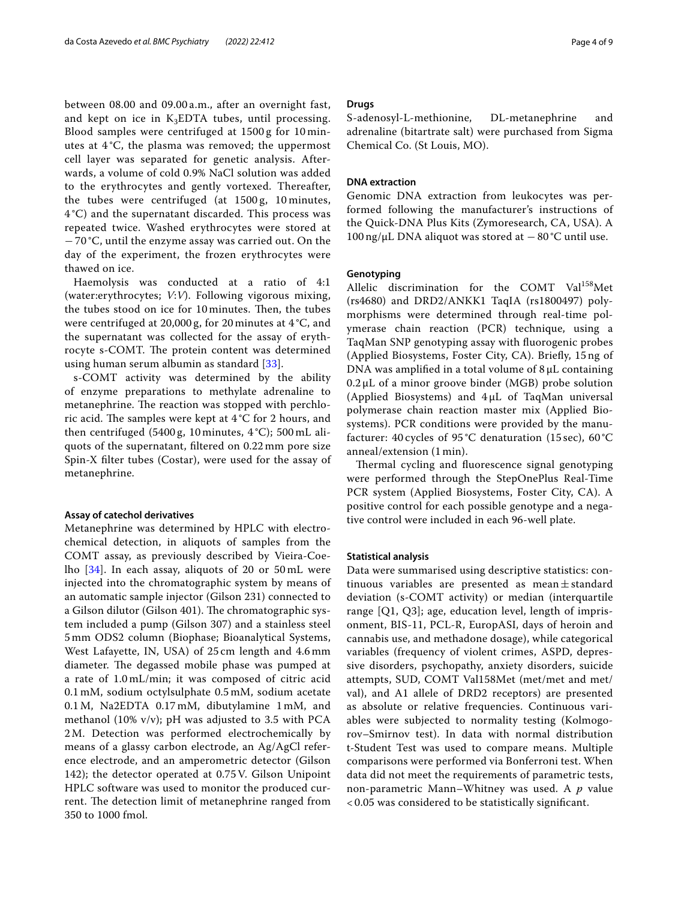between 08.00 and 09.00 a.m., after an overnight fast, and kept on ice in  $K_3EDTA$  tubes, until processing. Blood samples were centrifuged at 1500 g for 10 minutes at 4 °C, the plasma was removed; the uppermost cell layer was separated for genetic analysis. Afterwards, a volume of cold 0.9% NaCl solution was added to the erythrocytes and gently vortexed. Thereafter, the tubes were centrifuged (at 1500 g, 10 minutes, 4 °C) and the supernatant discarded. This process was repeated twice. Washed erythrocytes were stored at − 70 °C, until the enzyme assay was carried out. On the day of the experiment, the frozen erythrocytes were thawed on ice.

Haemolysis was conducted at a ratio of 4:1 (water:erythrocytes; *V*:*V*). Following vigorous mixing, the tubes stood on ice for 10 minutes. Then, the tubes were centrifuged at 20,000 g, for 20 minutes at 4 °C, and the supernatant was collected for the assay of erythrocyte s-COMT. The protein content was determined using human serum albumin as standard [[33\]](#page-8-23).

s-COMT activity was determined by the ability of enzyme preparations to methylate adrenaline to metanephrine. The reaction was stopped with perchloric acid. The samples were kept at  $4^{\circ}C$  for 2 hours, and then centrifuged (5400 g, 10 minutes, 4 °C); 500 mL aliquots of the supernatant, fltered on 0.22 mm pore size Spin-X flter tubes (Costar), were used for the assay of metanephrine.

#### **Assay of catechol derivatives**

Metanephrine was determined by HPLC with electrochemical detection, in aliquots of samples from the COMT assay, as previously described by Vieira-Coelho [[34\]](#page-8-24). In each assay, aliquots of 20 or 50 mL were injected into the chromatographic system by means of an automatic sample injector (Gilson 231) connected to a Gilson dilutor (Gilson 401). The chromatographic system included a pump (Gilson 307) and a stainless steel 5 mm ODS2 column (Biophase; Bioanalytical Systems, West Lafayette, IN, USA) of 25 cm length and 4.6 mm diameter. The degassed mobile phase was pumped at a rate of 1.0 mL/min; it was composed of citric acid 0.1 mM, sodium octylsulphate 0.5 mM, sodium acetate 0.1M, Na2EDTA 0.17 mM, dibutylamine 1 mM, and methanol (10% v/v); pH was adjusted to 3.5 with PCA 2M. Detection was performed electrochemically by means of a glassy carbon electrode, an Ag/AgCl reference electrode, and an amperometric detector (Gilson 142); the detector operated at 0.75V. Gilson Unipoint HPLC software was used to monitor the produced current. The detection limit of metanephrine ranged from 350 to 1000 fmol.

#### **Drugs**

S-adenosyl-L-methionine, DL-metanephrine and adrenaline (bitartrate salt) were purchased from Sigma Chemical Co. (St Louis, MO).

#### **DNA extraction**

Genomic DNA extraction from leukocytes was performed following the manufacturer's instructions of the Quick-DNA Plus Kits (Zymoresearch, CA, USA). A 100 ng/μL DNA aliquot was stored at −80 °C until use.

#### **Genotyping**

Allelic discrimination for the COMT Val158Met (rs4680) and DRD2/ANKK1 TaqIA (rs1800497) polymorphisms were determined through real-time polymerase chain reaction (PCR) technique, using a TaqMan SNP genotyping assay with fuorogenic probes (Applied Biosystems, Foster City, CA). Briefy, 15 ng of DNA was amplifed in a total volume of 8 μL containing  $0.2 \mu L$  of a minor groove binder (MGB) probe solution (Applied Biosystems) and 4 μL of TaqMan universal polymerase chain reaction master mix (Applied Biosystems). PCR conditions were provided by the manufacturer: 40 cycles of 95 °C denaturation (15 sec), 60 °C anneal/extension (1 min).

Thermal cycling and fluorescence signal genotyping were performed through the StepOnePlus Real-Time PCR system (Applied Biosystems, Foster City, CA). A positive control for each possible genotype and a negative control were included in each 96-well plate.

#### **Statistical analysis**

Data were summarised using descriptive statistics: continuous variables are presented as mean $\pm$ standard deviation (s-COMT activity) or median (interquartile range [Q1, Q3]; age, education level, length of imprisonment, BIS-11, PCL-R, EuropASI, days of heroin and cannabis use, and methadone dosage), while categorical variables (frequency of violent crimes, ASPD, depressive disorders, psychopathy, anxiety disorders, suicide attempts, SUD, COMT Val158Met (met/met and met/ val), and A1 allele of DRD2 receptors) are presented as absolute or relative frequencies. Continuous variables were subjected to normality testing (Kolmogorov–Smirnov test). In data with normal distribution t-Student Test was used to compare means. Multiple comparisons were performed via Bonferroni test. When data did not meet the requirements of parametric tests, non-parametric Mann–Whitney was used. A *p* value < 0.05 was considered to be statistically signifcant.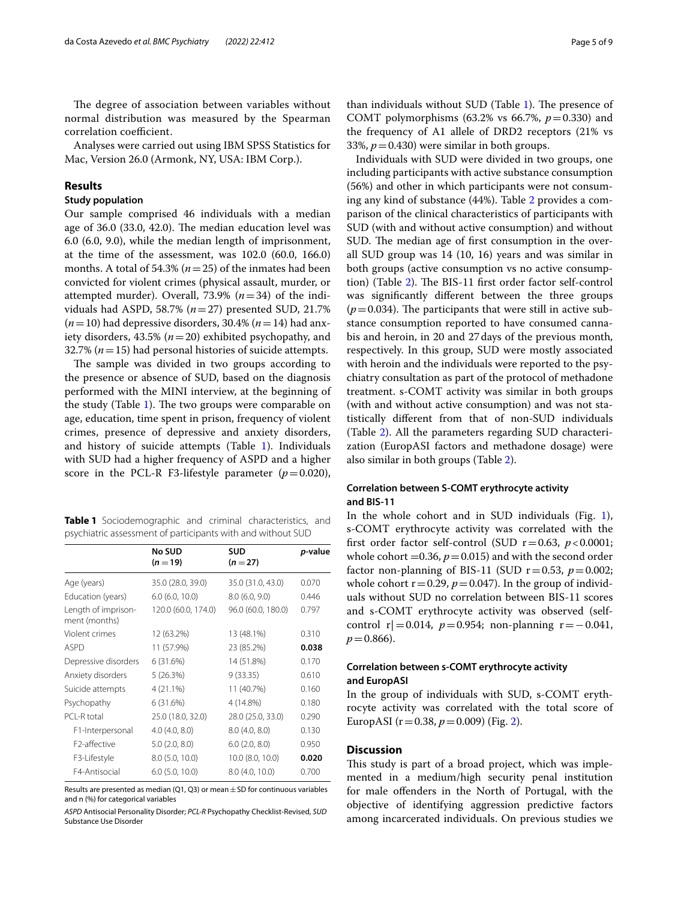The degree of association between variables without normal distribution was measured by the Spearman correlation coefficient.

Analyses were carried out using IBM SPSS Statistics for Mac, Version 26.0 (Armonk, NY, USA: IBM Corp.).

#### **Results**

#### **Study population**

Our sample comprised 46 individuals with a median age of 36.0 (33.0, 42.0). The median education level was 6.0 (6.0, 9.0), while the median length of imprisonment, at the time of the assessment, was 102.0 (60.0, 166.0) months. A total of 54.3% (*n*=25) of the inmates had been convicted for violent crimes (physical assault, murder, or attempted murder). Overall, 73.9%  $(n=34)$  of the individuals had ASPD, 58.7% (*n*=27) presented SUD, 21.7% (*n*=10) had depressive disorders, 30.4% (*n*=14) had anxiety disorders, 43.5% (*n*=20) exhibited psychopathy, and 32.7% (*n*=15) had personal histories of suicide attempts.

The sample was divided in two groups according to the presence or absence of SUD, based on the diagnosis performed with the MINI interview, at the beginning of the study (Table  $1$ ). The two groups were comparable on age, education, time spent in prison, frequency of violent crimes, presence of depressive and anxiety disorders, and history of suicide attempts (Table  $1$ ). Individuals with SUD had a higher frequency of ASPD and a higher score in the PCL-R F3-lifestyle parameter  $(p=0.020)$ ,

<span id="page-4-0"></span>**Table 1** Sociodemographic and criminal characteristics, and psychiatric assessment of participants with and without SUD

|                                      | <b>No SUD</b><br>$(n=19)$ | <b>SUD</b><br>$(n=27)$ | <i>p</i> -value |
|--------------------------------------|---------------------------|------------------------|-----------------|
| Age (years)                          | 35.0 (28.0, 39.0)         | 35.0 (31.0, 43.0)      | 0.070           |
| Education (years)                    | $6.0$ (6.0, 10.0)         | 8.0(6.0, 9.0)          | 0.446           |
| Length of imprison-<br>ment (months) | 120.0 (60.0, 174.0)       | 96.0 (60.0, 180.0)     | 0.797           |
| Violent crimes                       | 12 (63.2%)                | 13 (48.1%)             | 0.310           |
| <b>ASPD</b>                          | 11 (57.9%)                | 23 (85.2%)             | 0.038           |
| Depressive disorders                 | 6(31.6%)                  | 14 (51.8%)             | 0.170           |
| Anxiety disorders                    | 5(26.3%)                  | 9(33.35)               | 0.610           |
| Suicide attempts                     | $4(21.1\%)$               | 11 (40.7%)             | 0.160           |
| Psychopathy                          | 6(31.6%)                  | 4 (14.8%)              | 0.180           |
| PCI-R total                          | 25.0 (18.0, 32.0)         | 28.0 (25.0, 33.0)      | 0.290           |
| F1-Interpersonal                     | 4.0(4.0, 8.0)             | 8.0(4.0, 8.0)          | 0.130           |
| F2-affective                         | 5.0(2.0, 8.0)             | 6.0(2.0, 8.0)          | 0.950           |
| F3-Lifestyle                         | 8.0 (5.0, 10.0)           | 10.0 (8.0, 10.0)       | 0.020           |
| F4-Antisocial                        | $6.0$ (5.0, 10.0)         | 8.0(4.0, 10.0)         | 0.700           |

Results are presented as median (Q1, Q3) or mean  $\pm$  SD for continuous variables and n (%) for categorical variables

*ASPD* Antisocial Personality Disorder; *PCL-R* Psychopathy Checklist-Revised, *SUD* Substance Use Disorder

than individuals without SUD (Table  $1$ ). The presence of COMT polymorphisms (63.2% vs 66.7%,  $p=0.330$ ) and the frequency of A1 allele of DRD2 receptors (21% vs 33%,  $p = 0.430$ ) were similar in both groups.

Individuals with SUD were divided in two groups, one including participants with active substance consumption (56%) and other in which participants were not consuming any kind of substance (44%). Table [2](#page-5-0) provides a comparison of the clinical characteristics of participants with SUD (with and without active consumption) and without SUD. The median age of first consumption in the overall SUD group was 14 (10, 16) years and was similar in both groups (active consumption vs no active consump-tion) (Table [2](#page-5-0)). The BIS-11 first order factor self-control was signifcantly diferent between the three groups  $(p=0.034)$ . The participants that were still in active substance consumption reported to have consumed cannabis and heroin, in 20 and 27days of the previous month, respectively. In this group, SUD were mostly associated with heroin and the individuals were reported to the psychiatry consultation as part of the protocol of methadone treatment. s-COMT activity was similar in both groups (with and without active consumption) and was not statistically diferent from that of non-SUD individuals (Table [2\)](#page-5-0). All the parameters regarding SUD characterization (EuropASI factors and methadone dosage) were also similar in both groups (Table [2](#page-5-0)).

#### **Correlation between S‑COMT erythrocyte activity and BIS‑11**

In the whole cohort and in SUD individuals (Fig. [1](#page-5-1)), s-COMT erythrocyte activity was correlated with the first order factor self-control (SUD  $r = 0.63$ ,  $p < 0.0001$ ; whole cohort  $=0.36$ ,  $p=0.015$ ) and with the second order factor non-planning of BIS-11 (SUD  $r=0.53$ ,  $p=0.002$ ; whole cohort  $r = 0.29$ ,  $p = 0.047$ ). In the group of individuals without SUD no correlation between BIS-11 scores and s-COMT erythrocyte activity was observed (selfcontrol r| = 0.014,  $p = 0.954$ ; non-planning r = − 0.041,  $p = 0.866$ ).

#### **Correlation between s‑COMT erythrocyte activity and EuropASI**

In the group of individuals with SUD, s-COMT erythrocyte activity was correlated with the total score of EuropASI ( $r = 0.38$ ,  $p = 0.009$ ) (Fig. [2\)](#page-6-0).

#### **Discussion**

This study is part of a broad project, which was implemented in a medium/high security penal institution for male ofenders in the North of Portugal, with the objective of identifying aggression predictive factors among incarcerated individuals. On previous studies we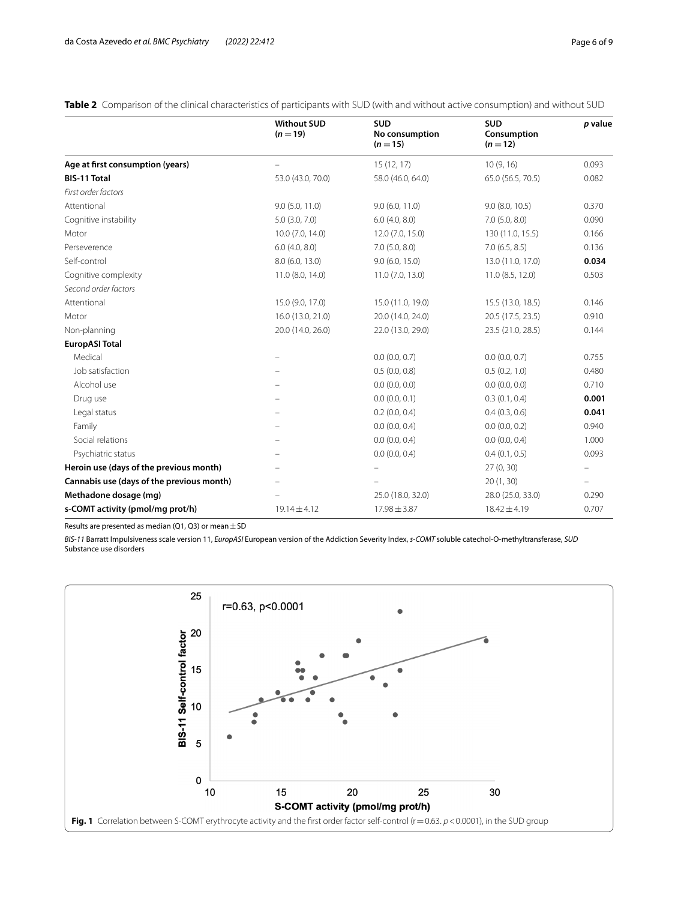<span id="page-5-0"></span>**Table 2** Comparison of the clinical characteristics of participants with SUD (with and without active consumption) and without SUD

|                                           | <b>Without SUD</b><br>$(n=19)$ | <b>SUD</b><br>No consumption<br>$(n=15)$ | <b>SUD</b><br>Consumption<br>$(n=12)$ | p value                  |
|-------------------------------------------|--------------------------------|------------------------------------------|---------------------------------------|--------------------------|
| Age at first consumption (years)          |                                | 15(12, 17)                               | 10(9, 16)                             | 0.093                    |
| <b>BIS-11 Total</b>                       | 53.0 (43.0, 70.0)              | 58.0 (46.0, 64.0)                        | 65.0 (56.5, 70.5)                     | 0.082                    |
| First order factors                       |                                |                                          |                                       |                          |
| Attentional                               | 9.0(5.0, 11.0)                 | 9.0(6.0, 11.0)                           | 9.0(8.0, 10.5)                        | 0.370                    |
| Cognitive instability                     | $5.0$ $(3.0, 7.0)$             | 6.0(4.0, 8.0)                            | 7.0(5.0, 8.0)                         | 0.090                    |
| Motor                                     | 10.0 (7.0, 14.0)               | 12.0 (7.0, 15.0)                         | 130 (11.0, 15.5)                      | 0.166                    |
| Perseverence                              | 6.0(4.0, 8.0)                  | 7.0(5.0, 8.0)                            | 7.0(6.5, 8.5)                         | 0.136                    |
| Self-control                              | 8.0 (6.0, 13.0)                | 9.0(6.0, 15.0)                           | 13.0 (11.0, 17.0)                     | 0.034                    |
| Cognitive complexity                      | 11.0 (8.0, 14.0)               | 11.0(7.0, 13.0)                          | 11.0 (8.5, 12.0)                      | 0.503                    |
| Second order factors                      |                                |                                          |                                       |                          |
| Attentional                               | 15.0 (9.0, 17.0)               | 15.0 (11.0, 19.0)                        | 15.5 (13.0, 18.5)                     | 0.146                    |
| Motor                                     | 16.0 (13.0, 21.0)              | 20.0 (14.0, 24.0)                        | 20.5 (17.5, 23.5)                     | 0.910                    |
| Non-planning                              | 20.0 (14.0, 26.0)              | 22.0 (13.0, 29.0)                        | 23.5 (21.0, 28.5)                     | 0.144                    |
| <b>EuropASI Total</b>                     |                                |                                          |                                       |                          |
| Medical                                   |                                | 0.0(0.0, 0.7)                            | 0.0(0.0, 0.7)                         | 0.755                    |
| Job satisfaction                          |                                | 0.5(0.0, 0.8)                            | 0.5(0.2, 1.0)                         | 0.480                    |
| Alcohol use                               |                                | 0.0(0.0, 0.0)                            | 0.0(0.0, 0.0)                         | 0.710                    |
| Drug use                                  |                                | 0.0(0.0, 0.1)                            | 0.3(0.1, 0.4)                         | 0.001                    |
| Legal status                              |                                | 0.2(0.0, 0.4)                            | 0.4(0.3, 0.6)                         | 0.041                    |
| Family                                    |                                | 0.0(0.0, 0.4)                            | 0.0(0.0, 0.2)                         | 0.940                    |
| Social relations                          | $\qquad \qquad -$              | 0.0(0.0, 0.4)                            | 0.0(0.0, 0.4)                         | 1.000                    |
| Psychiatric status                        |                                | 0.0(0.0, 0.4)                            | 0.4(0.1, 0.5)                         | 0.093                    |
| Heroin use (days of the previous month)   |                                |                                          | 27(0, 30)                             | $\overline{\phantom{m}}$ |
| Cannabis use (days of the previous month) |                                |                                          | 20(1, 30)                             | $\overline{\phantom{0}}$ |
| Methadone dosage (mg)                     |                                | 25.0 (18.0, 32.0)                        | 28.0 (25.0, 33.0)                     | 0.290                    |
| s-COMT activity (pmol/mg prot/h)          | $19.14 \pm 4.12$               | $17.98 \pm 3.87$                         | $18.42 \pm 4.19$                      | 0.707                    |

Results are presented as median (Q1, Q3) or mean  $\pm$  SD

*BIS-11* Barratt Impulsiveness scale version 11, *EuropASI* European version of the Addiction Severity Index, *s-COMT* soluble catechol-O-methyltransferase, *SUD* Substance use disorders

<span id="page-5-1"></span>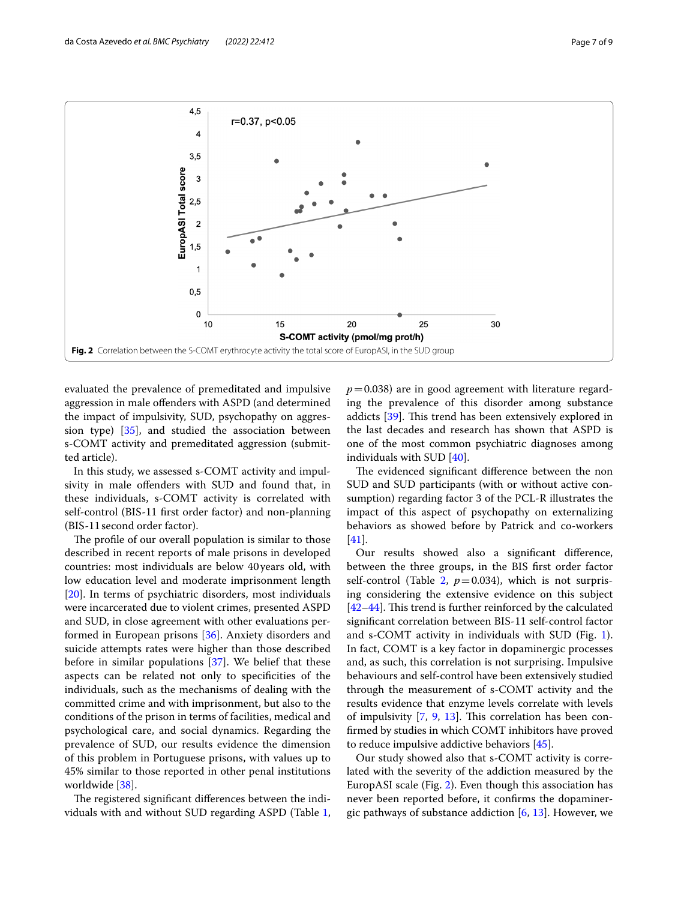

<span id="page-6-0"></span>evaluated the prevalence of premeditated and impulsive aggression in male ofenders with ASPD (and determined the impact of impulsivity, SUD, psychopathy on aggression type) [\[35\]](#page-8-25), and studied the association between s-COMT activity and premeditated aggression (submitted article).

In this study, we assessed s-COMT activity and impulsivity in male ofenders with SUD and found that, in these individuals, s-COMT activity is correlated with self-control (BIS-11 frst order factor) and non-planning (BIS-11second order factor).

The profile of our overall population is similar to those described in recent reports of male prisons in developed countries: most individuals are below 40years old, with low education level and moderate imprisonment length [[20\]](#page-8-10). In terms of psychiatric disorders, most individuals were incarcerated due to violent crimes, presented ASPD and SUD, in close agreement with other evaluations performed in European prisons [\[36](#page-8-26)]. Anxiety disorders and suicide attempts rates were higher than those described before in similar populations [\[37\]](#page-8-27). We belief that these aspects can be related not only to specifcities of the individuals, such as the mechanisms of dealing with the committed crime and with imprisonment, but also to the conditions of the prison in terms of facilities, medical and psychological care, and social dynamics. Regarding the prevalence of SUD, our results evidence the dimension of this problem in Portuguese prisons, with values up to 45% similar to those reported in other penal institutions worldwide [\[38](#page-8-28)].

The registered significant differences between the individuals with and without SUD regarding ASPD (Table [1](#page-4-0),  $p=0.038$ ) are in good agreement with literature regarding the prevalence of this disorder among substance addicts [\[39](#page-8-29)]. This trend has been extensively explored in the last decades and research has shown that ASPD is one of the most common psychiatric diagnoses among individuals with SUD [\[40](#page-8-30)].

The evidenced significant difference between the non SUD and SUD participants (with or without active consumption) regarding factor 3 of the PCL-R illustrates the impact of this aspect of psychopathy on externalizing behaviors as showed before by Patrick and co-workers [[41\]](#page-8-31).

Our results showed also a signifcant diference, between the three groups, in the BIS frst order factor self-control (Table [2,](#page-5-0)  $p=0.034$ ), which is not surprising considering the extensive evidence on this subject  $[42-44]$  $[42-44]$ . This trend is further reinforced by the calculated signifcant correlation between BIS-11 self-control factor and s-COMT activity in individuals with SUD (Fig. [1](#page-5-1)). In fact, COMT is a key factor in dopaminergic processes and, as such, this correlation is not surprising. Impulsive behaviours and self-control have been extensively studied through the measurement of s-COMT activity and the results evidence that enzyme levels correlate with levels of impulsivity  $[7, 9, 13]$  $[7, 9, 13]$  $[7, 9, 13]$  $[7, 9, 13]$  $[7, 9, 13]$  $[7, 9, 13]$  $[7, 9, 13]$ . This correlation has been confrmed by studies in which COMT inhibitors have proved to reduce impulsive addictive behaviors [\[45](#page-8-34)].

Our study showed also that s-COMT activity is correlated with the severity of the addiction measured by the EuropASI scale (Fig. [2\)](#page-6-0). Even though this association has never been reported before, it confrms the dopaminergic pathways of substance addiction  $[6, 13]$  $[6, 13]$  $[6, 13]$ . However, we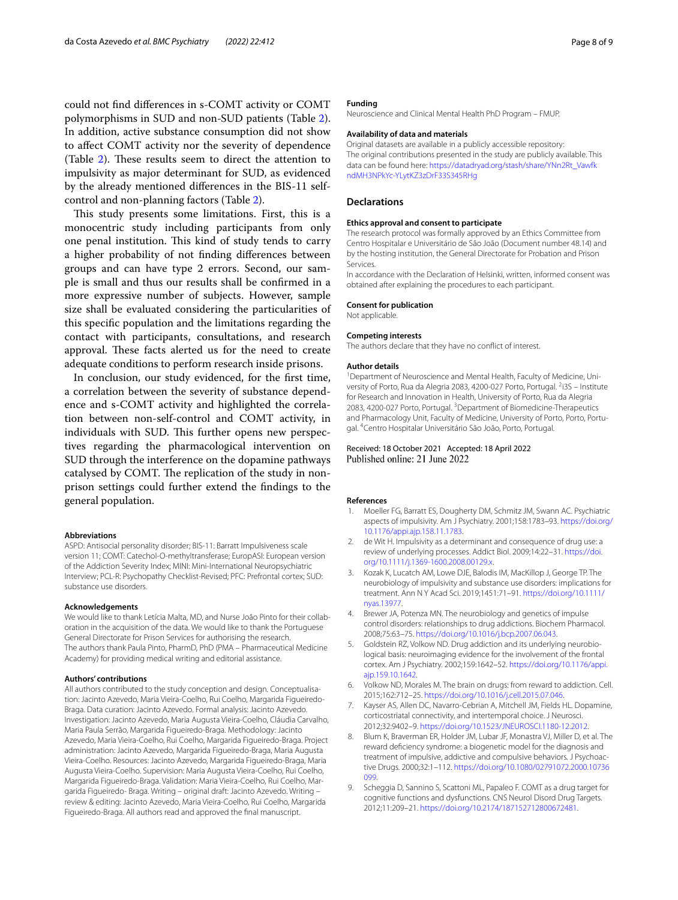could not fnd diferences in s-COMT activity or COMT polymorphisms in SUD and non-SUD patients (Table [2](#page-5-0)). In addition, active substance consumption did not show to afect COMT activity nor the severity of dependence (Table  $2$ ). These results seem to direct the attention to impulsivity as major determinant for SUD, as evidenced by the already mentioned diferences in the BIS-11 selfcontrol and non-planning factors (Table [2](#page-5-0)).

This study presents some limitations. First, this is a monocentric study including participants from only one penal institution. This kind of study tends to carry a higher probability of not fnding diferences between groups and can have type 2 errors. Second, our sample is small and thus our results shall be confrmed in a more expressive number of subjects. However, sample size shall be evaluated considering the particularities of this specifc population and the limitations regarding the contact with participants, consultations, and research approval. These facts alerted us for the need to create adequate conditions to perform research inside prisons.

In conclusion, our study evidenced, for the frst time, a correlation between the severity of substance dependence and s-COMT activity and highlighted the correlation between non-self-control and COMT activity, in individuals with SUD. This further opens new perspectives regarding the pharmacological intervention on SUD through the interference on the dopamine pathways catalysed by COMT. The replication of the study in nonprison settings could further extend the fndings to the general population.

#### **Abbreviations**

ASPD: Antisocial personality disorder; BIS-11: Barratt Impulsiveness scale version 11; COMT: Catechol-O-methyltransferase; EuropASI: European version of the Addiction Severity Index; MINI: Mini-International Neuropsychiatric Interview; PCL-R: Psychopathy Checklist-Revised; PFC: Prefrontal cortex; SUD: substance use disorders.

#### **Acknowledgements**

We would like to thank Letícia Malta, MD, and Nurse João Pinto for their collaboration in the acquisition of the data. We would like to thank the Portuguese General Directorate for Prison Services for authorising the research. The authors thank Paula Pinto, PharmD, PhD (PMA – Pharmaceutical Medicine Academy) for providing medical writing and editorial assistance.

#### **Authors' contributions**

All authors contributed to the study conception and design. Conceptualisation: Jacinto Azevedo, Maria Vieira-Coelho, Rui Coelho, Margarida Figueiredo-Braga. Data curation: Jacinto Azevedo. Formal analysis: Jacinto Azevedo. Investigation: Jacinto Azevedo, Maria Augusta Vieira-Coelho, Cláudia Carvalho, Maria Paula Serrão, Margarida Figueiredo-Braga. Methodology: Jacinto Azevedo, Maria Vieira-Coelho, Rui Coelho, Margarida Figueiredo-Braga. Project administration: Jacinto Azevedo, Margarida Figueiredo-Braga, Maria Augusta Vieira-Coelho. Resources: Jacinto Azevedo, Margarida Figueiredo-Braga, Maria Augusta Vieira-Coelho. Supervision: Maria Augusta Vieira-Coelho, Rui Coelho, Margarida Figueiredo-Braga. Validation: Maria Vieira-Coelho, Rui Coelho, Mar‑ garida Figueiredo- Braga. Writing – original draft: Jacinto Azevedo. Writing – review & editing: Jacinto Azevedo, Maria Vieira-Coelho, Rui Coelho, Margarida Figueiredo-Braga. All authors read and approved the fnal manuscript.

#### **Funding**

Neuroscience and Clinical Mental Health PhD Program – FMUP.

#### **Availability of data and materials**

Original datasets are available in a publicly accessible repository: The original contributions presented in the study are publicly available. This data can be found here: [https://datadryad.org/stash/share/YNn2Rt\\_Vawfk](https://datadryad.org/stash/share/YNn2Rt_VawfkndMH3NPkYc-YLytKZ3zDrF33S345RHg) [ndMH3NPkYc-YLytKZ3zDrF33S345RHg](https://datadryad.org/stash/share/YNn2Rt_VawfkndMH3NPkYc-YLytKZ3zDrF33S345RHg)

#### **Declarations**

#### **Ethics approval and consent to participate**

The research protocol was formally approved by an Ethics Committee from Centro Hospitalar e Universitário de São João (Document number 48.14) and by the hosting institution, the General Directorate for Probation and Prison Services.

In accordance with the Declaration of Helsinki, written, informed consent was obtained after explaining the procedures to each participant.

#### **Consent for publication**

Not applicable.

**Competing interests**

The authors declare that they have no confict of interest.

#### **Author details**

<sup>1</sup> Department of Neuroscience and Mental Health, Faculty of Medicine, University of Porto, Rua da Alegria 2083, 4200-027 Porto, Portugal. <sup>2</sup>i3S - Institute for Research and Innovation in Health, University of Porto, Rua da Alegria 2083, 4200-027 Porto, Portugal. <sup>3</sup> Department of Biomedicine-Therapeutics and Pharmacology Unit, Faculty of Medicine, University of Porto, Porto, Portugal. 4 Centro Hospitalar Universitário São João, Porto, Portugal.

## Received: 18 October 2021 Accepted: 18 April 2022

#### **References**

- <span id="page-7-0"></span>1. Moeller FG, Barratt ES, Dougherty DM, Schmitz JM, Swann AC. Psychiatric aspects of impulsivity. Am J Psychiatry. 2001;158:1783–93. [https://doi.org/](https://doi.org/10.1176/appi.ajp.158.11.1783) [10.1176/appi.ajp.158.11.1783](https://doi.org/10.1176/appi.ajp.158.11.1783).
- <span id="page-7-1"></span>2. de Wit H. Impulsivity as a determinant and consequence of drug use: a review of underlying processes. Addict Biol. 2009;14:22–31. [https://doi.](https://doi.org/10.1111/j.1369-1600.2008.00129.x) [org/10.1111/j.1369-1600.2008.00129.x.](https://doi.org/10.1111/j.1369-1600.2008.00129.x)
- <span id="page-7-2"></span>3. Kozak K, Lucatch AM, Lowe DJE, Balodis IM, MacKillop J, George TP. The neurobiology of impulsivity and substance use disorders: implications for treatment. Ann N Y Acad Sci. 2019;1451:71–91. [https://doi.org/10.1111/](https://doi.org/10.1111/nyas.13977) [nyas.13977.](https://doi.org/10.1111/nyas.13977)
- <span id="page-7-3"></span>4. Brewer JA, Potenza MN. The neurobiology and genetics of impulse control disorders: relationships to drug addictions. Biochem Pharmacol. 2008;75:63–75. [https://doi.org/10.1016/j.bcp.2007.06.043.](https://doi.org/10.1016/j.bcp.2007.06.043)
- <span id="page-7-4"></span>5. Goldstein RZ, Volkow ND. Drug addiction and its underlying neurobiological basis: neuroimaging evidence for the involvement of the frontal cortex. Am J Psychiatry. 2002;159:1642–52. [https://doi.org/10.1176/appi.](https://doi.org/10.1176/appi.ajp.159.10.1642) [ajp.159.10.1642.](https://doi.org/10.1176/appi.ajp.159.10.1642)
- <span id="page-7-5"></span>6. Volkow ND, Morales M. The brain on drugs: from reward to addiction. Cell. 2015;162:712–25. [https://doi.org/10.1016/j.cell.2015.07.046.](https://doi.org/10.1016/j.cell.2015.07.046)
- <span id="page-7-6"></span>7. Kayser AS, Allen DC, Navarro-Cebrian A, Mitchell JM, Fields HL. Dopamine, corticostriatal connectivity, and intertemporal choice. J Neurosci. 2012;32:9402–9.<https://doi.org/10.1523/JNEUROSCI.1180-12.2012>.
- <span id="page-7-7"></span>8. Blum K, Braverman ER, Holder JM, Lubar JF, Monastra VJ, Miller D, et al. The reward defciency syndrome: a biogenetic model for the diagnosis and treatment of impulsive, addictive and compulsive behaviors. J Psychoactive Drugs. 2000;32:1–112. [https://doi.org/10.1080/02791072.2000.10736](https://doi.org/10.1080/02791072.2000.10736099) [099.](https://doi.org/10.1080/02791072.2000.10736099)
- <span id="page-7-8"></span>9. Scheggia D, Sannino S, Scattoni ML, Papaleo F. COMT as a drug target for cognitive functions and dysfunctions. CNS Neurol Disord Drug Targets. 2012;11:209–21.<https://doi.org/10.2174/187152712800672481>.